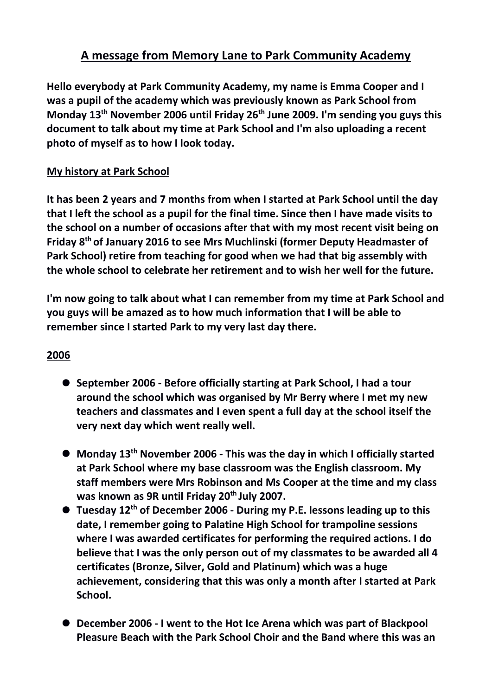# **A message from Memory Lane to Park Community Academy**

**Hello everybody at Park Community Academy, my name is Emma Cooper and I was a pupil of the academy which was previously known as Park School from Monday 13th November 2006 until Friday 26th June 2009. I'm sending you guys this document to talk about my time at Park School and I'm also uploading a recent photo of myself as to how I look today.**

## **My history at Park School**

**It has been 2 years and 7 months from when I started at Park School until the day that I left the school as a pupil for the final time. Since then I have made visits to the school on a number of occasions after that with my most recent visit being on Friday 8th of January 2016 to see Mrs Muchlinski (former Deputy Headmaster of Park School) retire from teaching for good when we had that big assembly with the whole school to celebrate her retirement and to wish her well for the future.** 

**I'm now going to talk about what I can remember from my time at Park School and you guys will be amazed as to how much information that I will be able to remember since I started Park to my very last day there.**

- **September 2006 - Before officially starting at Park School, I had a tour around the school which was organised by Mr Berry where I met my new teachers and classmates and I even spent a full day at the school itself the very next day which went really well.**
- **Monday 13th November 2006 - This was the day in which I officially started at Park School where my base classroom was the English classroom. My staff members were Mrs Robinson and Ms Cooper at the time and my class was known as 9R until Friday 20th July 2007.**
- **Tuesday 12th of December 2006 - During my P.E. lessons leading up to this date, I remember going to Palatine High School for trampoline sessions where I was awarded certificates for performing the required actions. I do believe that I was the only person out of my classmates to be awarded all 4 certificates (Bronze, Silver, Gold and Platinum) which was a huge achievement, considering that this was only a month after I started at Park School.**
- **December 2006 - I went to the Hot Ice Arena which was part of Blackpool Pleasure Beach with the Park School Choir and the Band where this was an**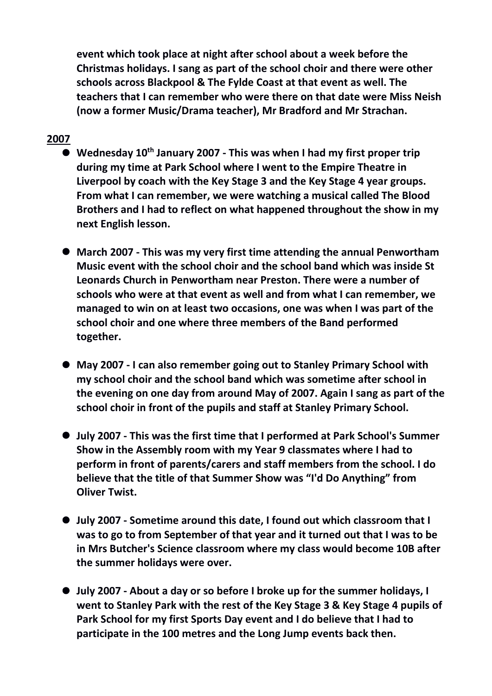**event which took place at night after school about a week before the Christmas holidays. I sang as part of the school choir and there were other schools across Blackpool & The Fylde Coast at that event as well. The teachers that I can remember who were there on that date were Miss Neish (now a former Music/Drama teacher), Mr Bradford and Mr Strachan.**

- **Wednesday 10th January 2007 - This was when I had my first proper trip during my time at Park School where I went to the Empire Theatre in Liverpool by coach with the Key Stage 3 and the Key Stage 4 year groups. From what I can remember, we were watching a musical called The Blood Brothers and I had to reflect on what happened throughout the show in my next English lesson.**
- **March 2007 - This was my very first time attending the annual Penwortham Music event with the school choir and the school band which was inside St Leonards Church in Penwortham near Preston. There were a number of schools who were at that event as well and from what I can remember, we managed to win on at least two occasions, one was when I was part of the school choir and one where three members of the Band performed together.**
- **May 2007 - I can also remember going out to Stanley Primary School with my school choir and the school band which was sometime after school in the evening on one day from around May of 2007. Again I sang as part of the school choir in front of the pupils and staff at Stanley Primary School.**
- **July 2007 - This was the first time that I performed at Park School's Summer Show in the Assembly room with my Year 9 classmates where I had to perform in front of parents/carers and staff members from the school. I do believe that the title of that Summer Show was "I'd Do Anything" from Oliver Twist.**
- **July 2007 - Sometime around this date, I found out which classroom that I was to go to from September of that year and it turned out that I was to be in Mrs Butcher's Science classroom where my class would become 10B after the summer holidays were over.**
- **July 2007 - About a day or so before I broke up for the summer holidays, I went to Stanley Park with the rest of the Key Stage 3 & Key Stage 4 pupils of Park School for my first Sports Day event and I do believe that I had to participate in the 100 metres and the Long Jump events back then.**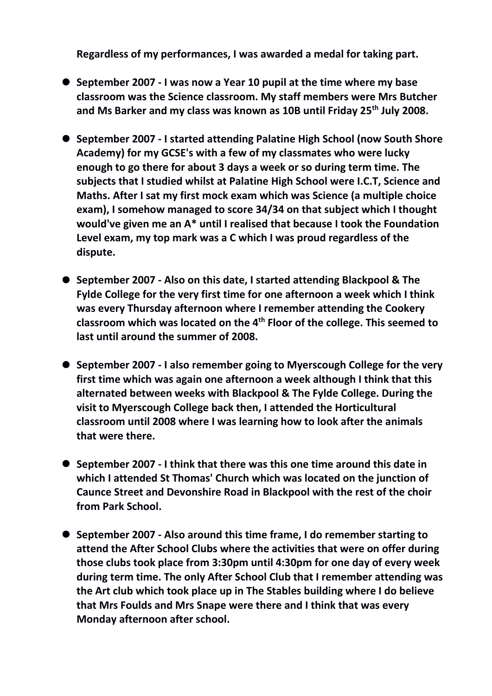**Regardless of my performances, I was awarded a medal for taking part.**

- **September 2007 - I was now a Year 10 pupil at the time where my base classroom was the Science classroom. My staff members were Mrs Butcher and Ms Barker and my class was known as 10B until Friday 25th July 2008.**
- **September 2007 - I started attending Palatine High School (now South Shore Academy) for my GCSE's with a few of my classmates who were lucky enough to go there for about 3 days a week or so during term time. The subjects that I studied whilst at Palatine High School were I.C.T, Science and Maths. After I sat my first mock exam which was Science (a multiple choice exam), I somehow managed to score 34/34 on that subject which I thought would've given me an A\* until I realised that because I took the Foundation Level exam, my top mark was a C which I was proud regardless of the dispute.**
- **September 2007 - Also on this date, I started attending Blackpool & The Fylde College for the very first time for one afternoon a week which I think was every Thursday afternoon where I remember attending the Cookery classroom which was located on the 4th Floor of the college. This seemed to last until around the summer of 2008.**
- **September 2007 - I also remember going to Myerscough College for the very first time which was again one afternoon a week although I think that this alternated between weeks with Blackpool & The Fylde College. During the visit to Myerscough College back then, I attended the Horticultural classroom until 2008 where I was learning how to look after the animals that were there.**
- **September 2007 - I think that there was this one time around this date in which I attended St Thomas' Church which was located on the junction of Caunce Street and Devonshire Road in Blackpool with the rest of the choir from Park School.**
- **September 2007 - Also around this time frame, I do remember starting to attend the After School Clubs where the activities that were on offer during those clubs took place from 3:30pm until 4:30pm for one day of every week during term time. The only After School Club that I remember attending was the Art club which took place up in The Stables building where I do believe that Mrs Foulds and Mrs Snape were there and I think that was every Monday afternoon after school.**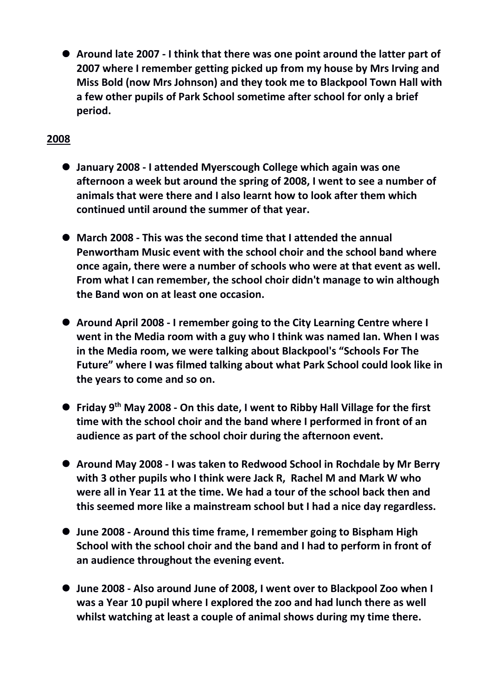**Around late 2007 - I think that there was one point around the latter part of 2007 where I remember getting picked up from my house by Mrs Irving and Miss Bold (now Mrs Johnson) and they took me to Blackpool Town Hall with a few other pupils of Park School sometime after school for only a brief period.**

- **January 2008 - I attended Myerscough College which again was one afternoon a week but around the spring of 2008, I went to see a number of animals that were there and I also learnt how to look after them which continued until around the summer of that year.**
- **March 2008 - This was the second time that I attended the annual Penwortham Music event with the school choir and the school band where once again, there were a number of schools who were at that event as well. From what I can remember, the school choir didn't manage to win although the Band won on at least one occasion.**
- **Around April 2008 - I remember going to the City Learning Centre where I went in the Media room with a guy who I think was named Ian. When I was in the Media room, we were talking about Blackpool's "Schools For The Future" where I was filmed talking about what Park School could look like in the years to come and so on.**
- **Friday 9th May 2008 - On this date, I went to Ribby Hall Village for the first time with the school choir and the band where I performed in front of an audience as part of the school choir during the afternoon event.**
- **Around May 2008 - I was taken to Redwood School in Rochdale by Mr Berry with 3 other pupils who I think were Jack R, Rachel M and Mark W who were all in Year 11 at the time. We had a tour of the school back then and this seemed more like a mainstream school but I had a nice day regardless.**
- **June 2008 - Around this time frame, I remember going to Bispham High School with the school choir and the band and I had to perform in front of an audience throughout the evening event.**
- **June 2008 - Also around June of 2008, I went over to Blackpool Zoo when I was a Year 10 pupil where I explored the zoo and had lunch there as well whilst watching at least a couple of animal shows during my time there.**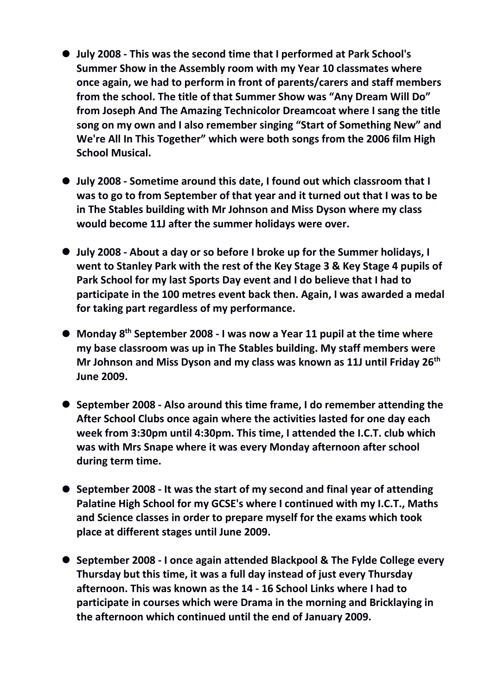- **July 2008 - This was the second time that I performed at Park School's Summer Show in the Assembly room with my Year 10 classmates where once again, we had to perform in front of parents/carers and staff members from the school. The title of that Summer Show was "Any Dream Will Do" from Joseph And The Amazing Technicolor Dreamcoat where I sang the title song on my own and I also remember singing "Start of Something New" and We're All In This Together" which were both songs from the 2006 film High School Musical.**
- **July 2008 - Sometime around this date, I found out which classroom that I was to go to from September of that year and it turned out that I was to be in The Stables building with Mr Johnson and Miss Dyson where my class would become 11J after the summer holidays were over.**
- **July 2008 - About a day or so before I broke up for the Summer holidays, I went to Stanley Park with the rest of the Key Stage 3 & Key Stage 4 pupils of Park School for my last Sports Day event and I do believe that I had to participate in the 100 metres event back then. Again, I was awarded a medal for taking part regardless of my performance.**
- **Monday 8th September 2008 - I was now a Year 11 pupil at the time where my base classroom was up in The Stables building. My staff members were Mr Johnson and Miss Dyson and my class was known as 11J until Friday 26th June 2009.**
- **September 2008 - Also around this time frame, I do remember attending the After School Clubs once again where the activities lasted for one day each week from 3:30pm until 4:30pm. This time, I attended the I.C.T. club which was with Mrs Snape where it was every Monday afternoon after school during term time.**
- **September 2008 - It was the start of my second and final year of attending Palatine High School for my GCSE's where I continued with my I.C.T., Maths and Science classes in order to prepare myself for the exams which took place at different stages until June 2009.**
- **September 2008 - I once again attended Blackpool & The Fylde College every Thursday but this time, it was a full day instead of just every Thursday afternoon. This was known as the 14 - 16 School Links where I had to participate in courses which were Drama in the morning and Bricklaying in the afternoon which continued until the end of January 2009.**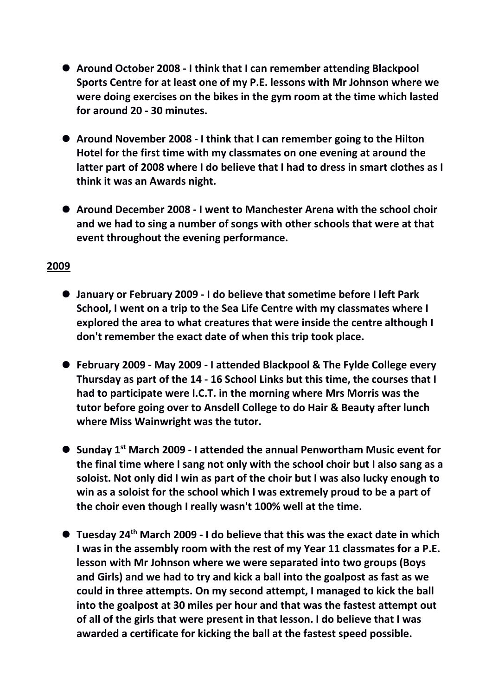- **Around October 2008 - I think that I can remember attending Blackpool Sports Centre for at least one of my P.E. lessons with Mr Johnson where we were doing exercises on the bikes in the gym room at the time which lasted for around 20 - 30 minutes.**
- **Around November 2008 - I think that I can remember going to the Hilton Hotel for the first time with my classmates on one evening at around the latter part of 2008 where I do believe that I had to dress in smart clothes as I think it was an Awards night.**
- **Around December 2008 - I went to Manchester Arena with the school choir and we had to sing a number of songs with other schools that were at that event throughout the evening performance.**

- **January or February 2009 - I do believe that sometime before I left Park School, I went on a trip to the Sea Life Centre with my classmates where I explored the area to what creatures that were inside the centre although I don't remember the exact date of when this trip took place.**
- **February 2009 - May 2009 - I attended Blackpool & The Fylde College every Thursday as part of the 14 - 16 School Links but this time, the courses that I had to participate were I.C.T. in the morning where Mrs Morris was the tutor before going over to Ansdell College to do Hair & Beauty after lunch where Miss Wainwright was the tutor.**
- **Sunday 1st March 2009 - I attended the annual Penwortham Music event for the final time where I sang not only with the school choir but I also sang as a soloist. Not only did I win as part of the choir but I was also lucky enough to win as a soloist for the school which I was extremely proud to be a part of the choir even though I really wasn't 100% well at the time.**
- **Tuesday 24th March 2009 - I do believe that this was the exact date in which I was in the assembly room with the rest of my Year 11 classmates for a P.E. lesson with Mr Johnson where we were separated into two groups (Boys and Girls) and we had to try and kick a ball into the goalpost as fast as we could in three attempts. On my second attempt, I managed to kick the ball into the goalpost at 30 miles per hour and that was the fastest attempt out of all of the girls that were present in that lesson. I do believe that I was awarded a certificate for kicking the ball at the fastest speed possible.**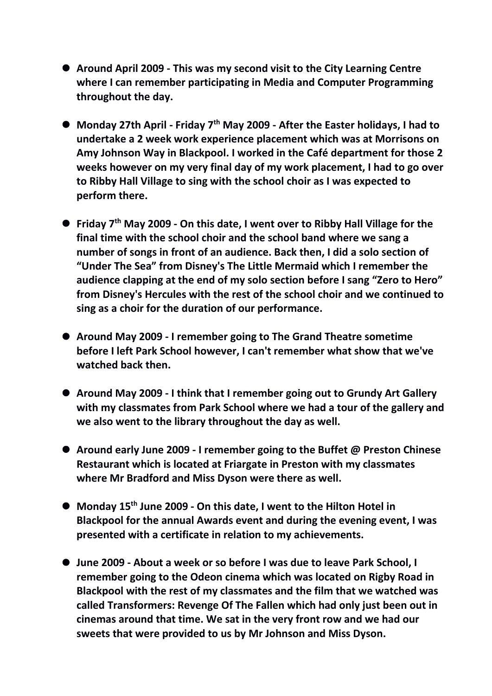- **Around April 2009 - This was my second visit to the City Learning Centre where I can remember participating in Media and Computer Programming throughout the day.**
- **Monday 27th April - Friday 7th May 2009 - After the Easter holidays, I had to undertake a 2 week work experience placement which was at Morrisons on Amy Johnson Way in Blackpool. I worked in the Café department for those 2 weeks however on my very final day of my work placement, I had to go over to Ribby Hall Village to sing with the school choir as I was expected to perform there.**
- **Friday 7th May 2009 - On this date, I went over to Ribby Hall Village for the final time with the school choir and the school band where we sang a number of songs in front of an audience. Back then, I did a solo section of "Under The Sea" from Disney's The Little Mermaid which I remember the audience clapping at the end of my solo section before I sang "Zero to Hero" from Disney's Hercules with the rest of the school choir and we continued to sing as a choir for the duration of our performance.**
- **Around May 2009 - I remember going to The Grand Theatre sometime before I left Park School however, I can't remember what show that we've watched back then.**
- **Around May 2009 - I think that I remember going out to Grundy Art Gallery with my classmates from Park School where we had a tour of the gallery and we also went to the library throughout the day as well.**
- **Around early June 2009 - I remember going to the Buffet @ Preston Chinese Restaurant which is located at Friargate in Preston with my classmates where Mr Bradford and Miss Dyson were there as well.**
- **Monday 15th June 2009 - On this date, I went to the Hilton Hotel in Blackpool for the annual Awards event and during the evening event, I was presented with a certificate in relation to my achievements.**
- **June 2009 - About a week or so before I was due to leave Park School, I remember going to the Odeon cinema which was located on Rigby Road in Blackpool with the rest of my classmates and the film that we watched was called Transformers: Revenge Of The Fallen which had only just been out in cinemas around that time. We sat in the very front row and we had our sweets that were provided to us by Mr Johnson and Miss Dyson.**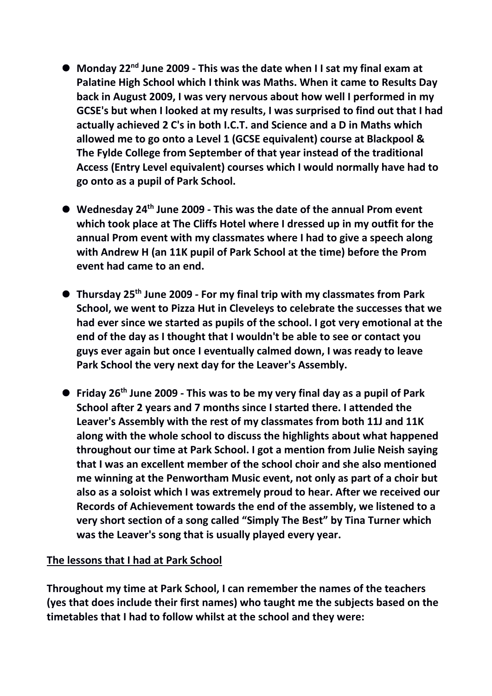- **Monday 22nd June 2009 - This was the date when I I sat my final exam at Palatine High School which I think was Maths. When it came to Results Day back in August 2009, I was very nervous about how well I performed in my GCSE's but when I looked at my results, I was surprised to find out that I had actually achieved 2 C's in both I.C.T. and Science and a D in Maths which allowed me to go onto a Level 1 (GCSE equivalent) course at Blackpool & The Fylde College from September of that year instead of the traditional Access (Entry Level equivalent) courses which I would normally have had to go onto as a pupil of Park School.**
- **Wednesday 24th June 2009 - This was the date of the annual Prom event which took place at The Cliffs Hotel where I dressed up in my outfit for the annual Prom event with my classmates where I had to give a speech along with Andrew H (an 11K pupil of Park School at the time) before the Prom event had came to an end.**
- **Thursday 25th June 2009 - For my final trip with my classmates from Park School, we went to Pizza Hut in Cleveleys to celebrate the successes that we had ever since we started as pupils of the school. I got very emotional at the end of the day as I thought that I wouldn't be able to see or contact you guys ever again but once I eventually calmed down, I was ready to leave Park School the very next day for the Leaver's Assembly.**
- **Friday 26th June 2009 - This was to be my very final day as a pupil of Park School after 2 years and 7 months since I started there. I attended the Leaver's Assembly with the rest of my classmates from both 11J and 11K along with the whole school to discuss the highlights about what happened throughout our time at Park School. I got a mention from Julie Neish saying that I was an excellent member of the school choir and she also mentioned me winning at the Penwortham Music event, not only as part of a choir but also as a soloist which I was extremely proud to hear. After we received our Records of Achievement towards the end of the assembly, we listened to a very short section of a song called "Simply The Best" by Tina Turner which was the Leaver's song that is usually played every year.**

## **The lessons that I had at Park School**

**Throughout my time at Park School, I can remember the names of the teachers (yes that does include their first names) who taught me the subjects based on the timetables that I had to follow whilst at the school and they were:**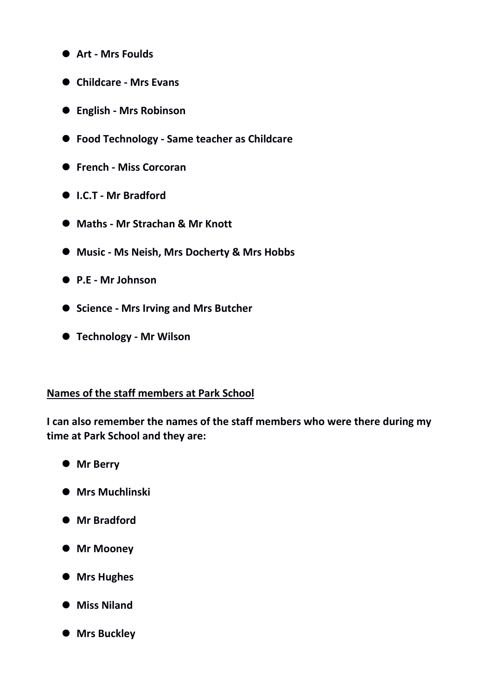- **Art - Mrs Foulds**
- **Childcare - Mrs Evans**
- **English - Mrs Robinson**
- **Food Technology - Same teacher as Childcare**
- **French - Miss Corcoran**
- **I.C.T - Mr Bradford**
- **Maths - Mr Strachan & Mr Knott**
- **Music - Ms Neish, Mrs Docherty & Mrs Hobbs**
- **P.E - Mr Johnson**
- **Science - Mrs Irving and Mrs Butcher**
- **Technology - Mr Wilson**

#### **Names of the staff members at Park School**

**I can also remember the names of the staff members who were there during my time at Park School and they are:**

- **Mr Berry**
- **Mrs Muchlinski**
- **Mr Bradford**
- **Mr Mooney**
- **Mrs Hughes**
- **Miss Niland**
- **Mrs Buckley**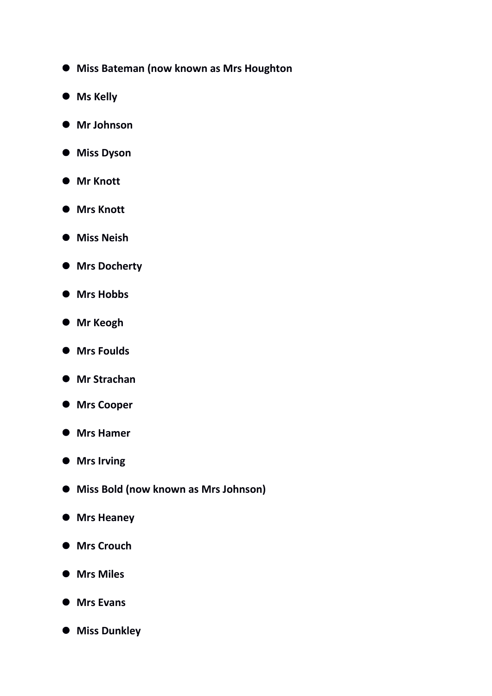- **Miss Bateman (now known as Mrs Houghton**
- **Ms Kelly**
- **Mr Johnson**
- **Miss Dyson**
- **Mr Knott**
- **Mrs Knott**
- **Miss Neish**
- **Mrs Docherty**
- **Mrs Hobbs**
- **Mr Keogh**
- **Mrs Foulds**
- **Mr Strachan**
- **Mrs Cooper**
- **Mrs Hamer**
- **Mrs Irving**
- **Miss Bold (now known as Mrs Johnson)**
- **Mrs Heaney**
- **Mrs Crouch**
- $\bullet$  Mrs Miles
- **Mrs Evans**
- **Miss Dunkley**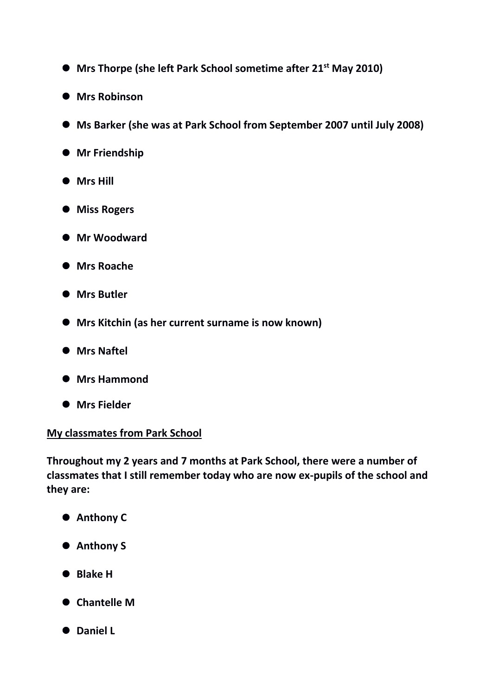- **Mrs Thorpe (she left Park School sometime after 21st May 2010)**
- **Mrs Robinson**
- **Ms Barker (she was at Park School from September 2007 until July 2008)**
- **Mr Friendship**
- **Mrs Hill**
- **Miss Rogers**
- **Mr Woodward**
- **Mrs Roache**
- **Mrs Butler**
- **Mrs Kitchin (as her current surname is now known)**
- **Mrs Naftel**
- **Mrs Hammond**
- **Mrs Fielder**

## **My classmates from Park School**

**Throughout my 2 years and 7 months at Park School, there were a number of classmates that I still remember today who are now ex-pupils of the school and they are:**

- **Anthony C**
- **Anthony S**
- **Blake H**
- **Chantelle M**
- **Daniel L**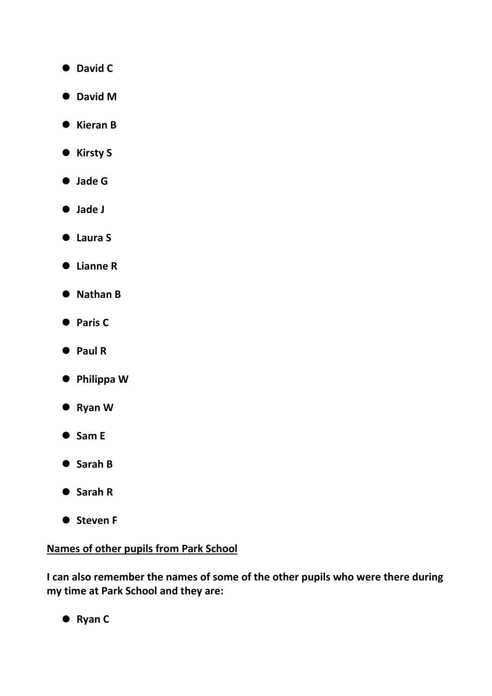- **David C**
- **David M**
- **Kieran B**
- **Kirsty S**
- **Jade G**
- **Jade J**
- **Laura S**
- **Lianne R**
- **Nathan B**
- **Paris C**
- **Paul R**
- **Philippa W**
- **Ryan W**
- **Sam E**
- **Sarah B**
- **Sarah R**
- $\bullet$  Steven F

## **Names of other pupils from Park School**

**I can also remember the names of some of the other pupils who were there during my time at Park School and they are:**

**Ryan C**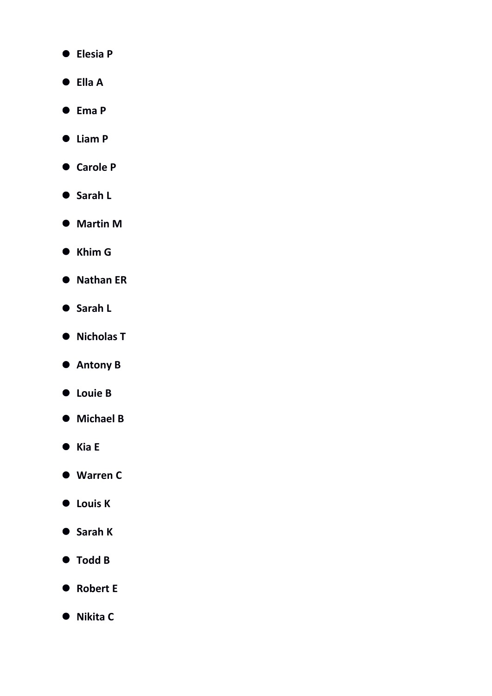- **Elesia P**
- **Ella A**
- **Ema P**
- **Liam P**
- **Carole P**
- **Sarah L**
- **Martin M**
- **Khim G**
- **Nathan ER**
- **Sarah L**
- **Nicholas T**
- **Antony B**
- **Louie B**
- **Michael B**
- **Kia E**
- **Warren C**
- **Louis K**
- **Sarah K**
- **Todd B**
- Robert E
- **Nikita C**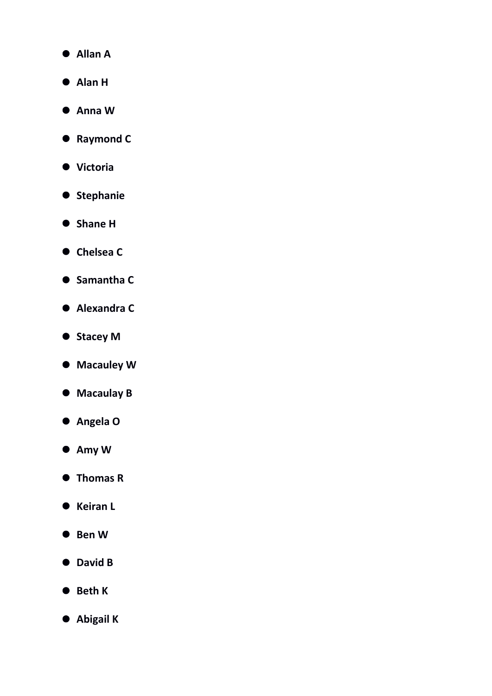- **Allan A**
- **Alan H**
- **Anna W**
- **Raymond C**
- **Victoria**
- $\bullet$  Stephanie
- **Shane H**
- **Chelsea C**
- **Samantha C**
- **Alexandra C**
- $\bullet$  Stacey M
- **Macauley W**
- **Macaulay B**
- **Angela O**
- **Amy W**
- **Thomas R**
- **Keiran L**
- **Ben W**
- **David B**
- **Beth K**
- **Abigail K**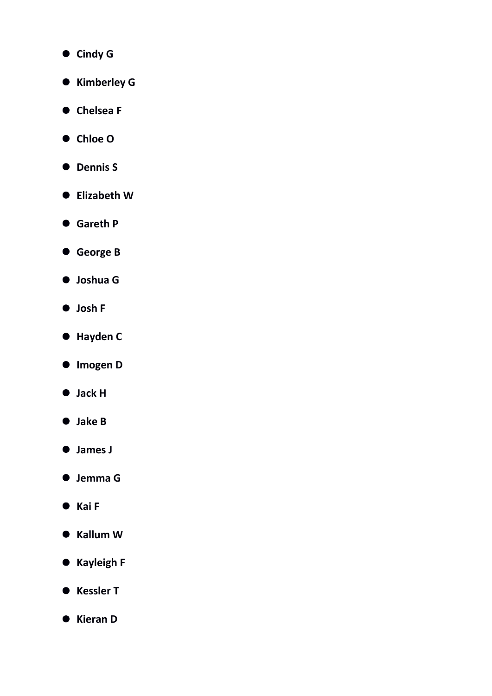- **Cindy G**
- **Kimberley G**
- **Chelsea F**
- **Chloe O**
- **Dennis S**
- **Elizabeth W**
- **Gareth P**
- **George B**
- **Joshua G**
- **Josh F**
- **Hayden C**
- **Imogen D**
- **Jack H**
- **Jake B**
- **James J**
- **Jemma G**
- **Kai F**
- **Kallum W**
- **Kayleigh F**
- **Kessler T**
- **Kieran D**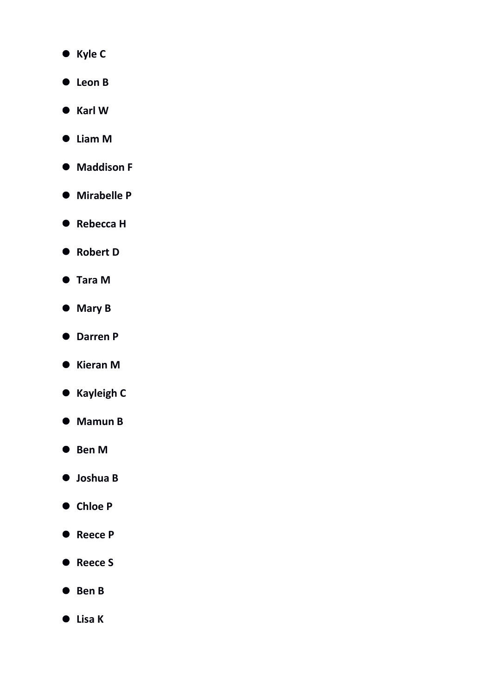- **Kyle C**
- **Leon B**
- **Karl W**
- **Liam M**
- $\bullet$  Maddison F
- **Mirabelle P**
- **Rebecca H**
- Robert D
- **Tara M**
- **Mary B**
- **Darren P**
- **Kieran M**
- **Kayleigh C**
- **Mamun B**
- **Ben M**
- **Joshua B**
- **Chloe P**
- **Reece P**
- **Reece S**
- **Ben B**
- **Lisa K**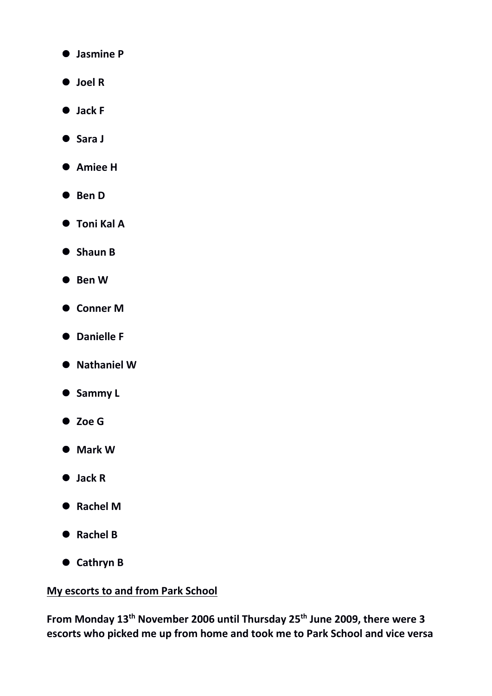- **Jasmine P**
- **Joel R**
- **Jack F**
- **Sara J**
- **Amiee H**
- **Ben D**
- **Toni Kal A**
- **Shaun B**
- **Ben W**
- **Conner M**
- **Danielle F**
- **Nathaniel W**
- **Sammy L**
- **Zoe G**
- **Mark W**
- **Jack R**
- **Rachel M**
- **Rachel B**
- **Cathryn B**

## **My escorts to and from Park School**

**From Monday 13th November 2006 until Thursday 25th June 2009, there were 3 escorts who picked me up from home and took me to Park School and vice versa**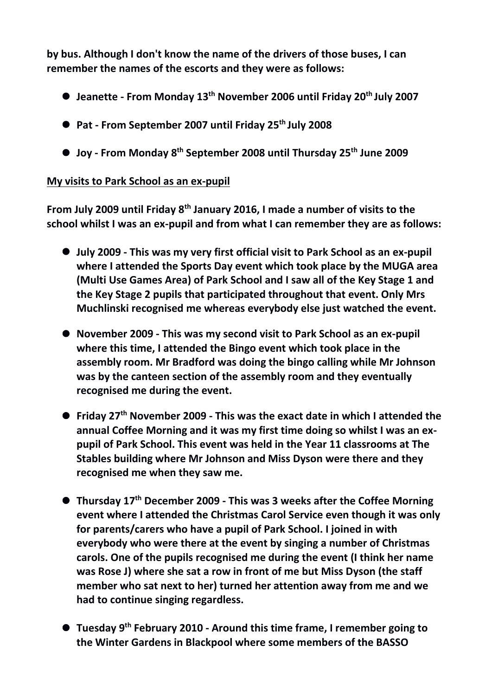**by bus. Although I don't know the name of the drivers of those buses, I can remember the names of the escorts and they were as follows:**

- **Jeanette - From Monday 13th November 2006 until Friday 20th July 2007**
- **Pat - From September 2007 until Friday 25th July 2008**
- **Joy - From Monday 8th September 2008 until Thursday 25th June 2009**

## **My visits to Park School as an ex-pupil**

**From July 2009 until Friday 8th January 2016, I made a number of visits to the school whilst I was an ex-pupil and from what I can remember they are as follows:**

- **July 2009 - This was my very first official visit to Park School as an ex-pupil where I attended the Sports Day event which took place by the MUGA area (Multi Use Games Area) of Park School and I saw all of the Key Stage 1 and the Key Stage 2 pupils that participated throughout that event. Only Mrs Muchlinski recognised me whereas everybody else just watched the event.**
- **November 2009 - This was my second visit to Park School as an ex-pupil where this time, I attended the Bingo event which took place in the assembly room. Mr Bradford was doing the bingo calling while Mr Johnson was by the canteen section of the assembly room and they eventually recognised me during the event.**
- **Friday 27th November 2009 - This was the exact date in which I attended the annual Coffee Morning and it was my first time doing so whilst I was an expupil of Park School. This event was held in the Year 11 classrooms at The Stables building where Mr Johnson and Miss Dyson were there and they recognised me when they saw me.**
- **Thursday 17th December 2009 - This was 3 weeks after the Coffee Morning event where I attended the Christmas Carol Service even though it was only for parents/carers who have a pupil of Park School. I joined in with everybody who were there at the event by singing a number of Christmas carols. One of the pupils recognised me during the event (I think her name was Rose J) where she sat a row in front of me but Miss Dyson (the staff member who sat next to her) turned her attention away from me and we had to continue singing regardless.**
- **Tuesday 9th February 2010 - Around this time frame, I remember going to the Winter Gardens in Blackpool where some members of the BASSO**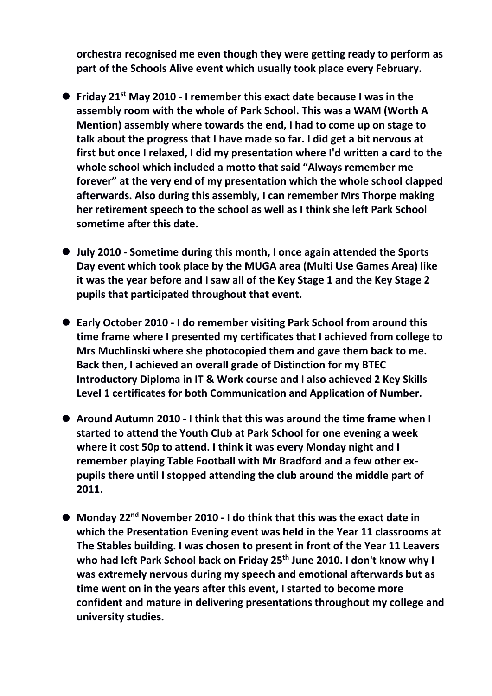**orchestra recognised me even though they were getting ready to perform as part of the Schools Alive event which usually took place every February.**

- **Friday 21st May 2010 - I remember this exact date because I was in the assembly room with the whole of Park School. This was a WAM (Worth A Mention) assembly where towards the end, I had to come up on stage to talk about the progress that I have made so far. I did get a bit nervous at first but once I relaxed, I did my presentation where I'd written a card to the whole school which included a motto that said "Always remember me forever" at the very end of my presentation which the whole school clapped afterwards. Also during this assembly, I can remember Mrs Thorpe making her retirement speech to the school as well as I think she left Park School sometime after this date.**
- **July 2010 - Sometime during this month, I once again attended the Sports Day event which took place by the MUGA area (Multi Use Games Area) like it was the year before and I saw all of the Key Stage 1 and the Key Stage 2 pupils that participated throughout that event.**
- **Early October 2010 - I do remember visiting Park School from around this time frame where I presented my certificates that I achieved from college to Mrs Muchlinski where she photocopied them and gave them back to me. Back then, I achieved an overall grade of Distinction for my BTEC Introductory Diploma in IT & Work course and I also achieved 2 Key Skills Level 1 certificates for both Communication and Application of Number.**
- **Around Autumn 2010 - I think that this was around the time frame when I started to attend the Youth Club at Park School for one evening a week where it cost 50p to attend. I think it was every Monday night and I remember playing Table Football with Mr Bradford and a few other expupils there until I stopped attending the club around the middle part of 2011.**
- **Monday 22nd November 2010 - I do think that this was the exact date in which the Presentation Evening event was held in the Year 11 classrooms at The Stables building. I was chosen to present in front of the Year 11 Leavers who had left Park School back on Friday 25th June 2010. I don't know why I was extremely nervous during my speech and emotional afterwards but as time went on in the years after this event, I started to become more confident and mature in delivering presentations throughout my college and university studies.**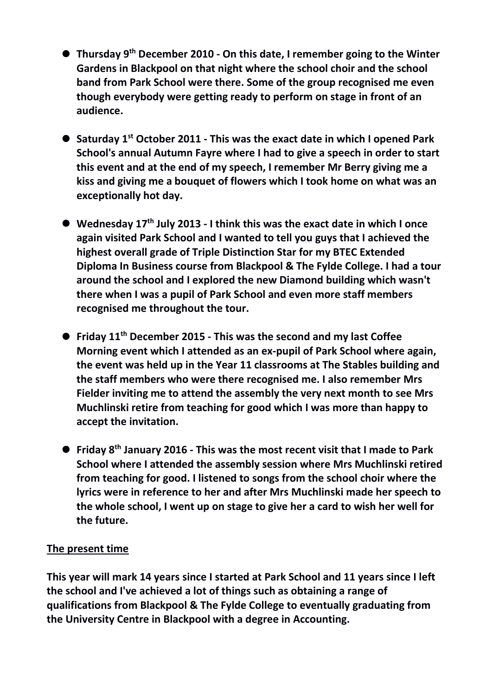- **Thursday 9 th December 2010 - On this date, I remember going to the Winter Gardens in Blackpool on that night where the school choir and the school band from Park School were there. Some of the group recognised me even though everybody were getting ready to perform on stage in front of an audience.**
- **Saturday 1st October 2011 - This was the exact date in which I opened Park School's annual Autumn Fayre where I had to give a speech in order to start this event and at the end of my speech, I remember Mr Berry giving me a kiss and giving me a bouquet of flowers which I took home on what was an exceptionally hot day.**
- **Wednesday 17th July 2013 - I think this was the exact date in which I once again visited Park School and I wanted to tell you guys that I achieved the highest overall grade of Triple Distinction Star for my BTEC Extended Diploma In Business course from Blackpool & The Fylde College. I had a tour around the school and I explored the new Diamond building which wasn't there when I was a pupil of Park School and even more staff members recognised me throughout the tour.**
- **Friday 11th December 2015 - This was the second and my last Coffee Morning event which I attended as an ex-pupil of Park School where again, the event was held up in the Year 11 classrooms at The Stables building and the staff members who were there recognised me. I also remember Mrs Fielder inviting me to attend the assembly the very next month to see Mrs Muchlinski retire from teaching for good which I was more than happy to accept the invitation.**
- **Friday 8th January 2016 - This was the most recent visit that I made to Park School where I attended the assembly session where Mrs Muchlinski retired from teaching for good. I listened to songs from the school choir where the lyrics were in reference to her and after Mrs Muchlinski made her speech to the whole school, I went up on stage to give her a card to wish her well for the future.**

## **The present time**

**This year will mark 14 years since I started at Park School and 11 years since I left the school and I've achieved a lot of things such as obtaining a range of qualifications from Blackpool & The Fylde College to eventually graduating from the University Centre in Blackpool with a degree in Accounting.**